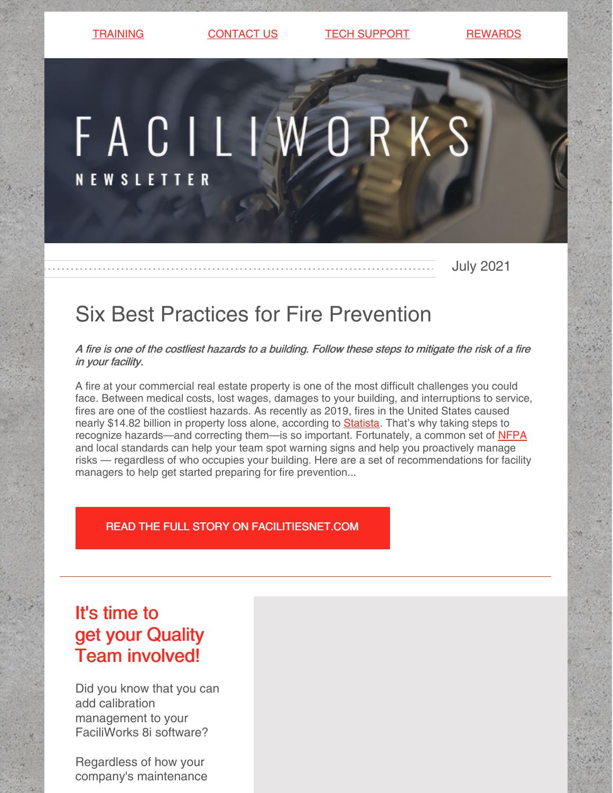[TRAINING](https://faciliworks.com/training-schedule/) [CONTACT](https://faciliworks.com/contact-us/) US CONTECH [SUPPORT](https://faciliworks.com/support/) [REWARDS](https://cybermetrics.com/referral-rewards/)

# FACILIWORKS

**NEW SLETTER** 

July 2021

# Six Best Practices for Fire Prevention

A fire is one of the costliest hazards to <sup>a</sup> building. Follow these steps to mitigate the risk of <sup>a</sup> fire in your facility.

A fire at your commercial real estate property is one of the most difficult challenges you could face. Between medical costs, lost wages, damages to your building, and interruptions to service, fires are one of the costliest hazards. As recently as 2019, fires in the United States caused nearly \$14.82 billion in property loss alone, according to **[Statista](https://www.statista.com/statistics/203776/property-loss-in-the-us-due-to-fires/#:~:text=U.S. fire statistics %2D property loss due to direct damage 1990%2D2019,-Published by Statista&text=In 2019%2C fires in the,about 14.82 billion U.S. dollars.)**. That's why taking steps to recognize hazards—and correcting them—is so important. Fortunately, a common set of [NFPA](https://www.nfpa.org/) and local standards can help your team spot warning signs and help you proactively manage risks — regardless of who occupies your building. Here are a set of recommendations for facility managers to help get started preparing for fire prevention...

### READ THE FULL STORY ON [FACILITIESNET.COM](https://www.facilitiesnet.com/firesafety/article/Six-Best-Practices-for-Fire-Prevention--19290)

# It's time to get your Quality Team involved!

Did you know that you can add calibration management to your FaciliWorks 8i software?

Regardless of how your company's maintenance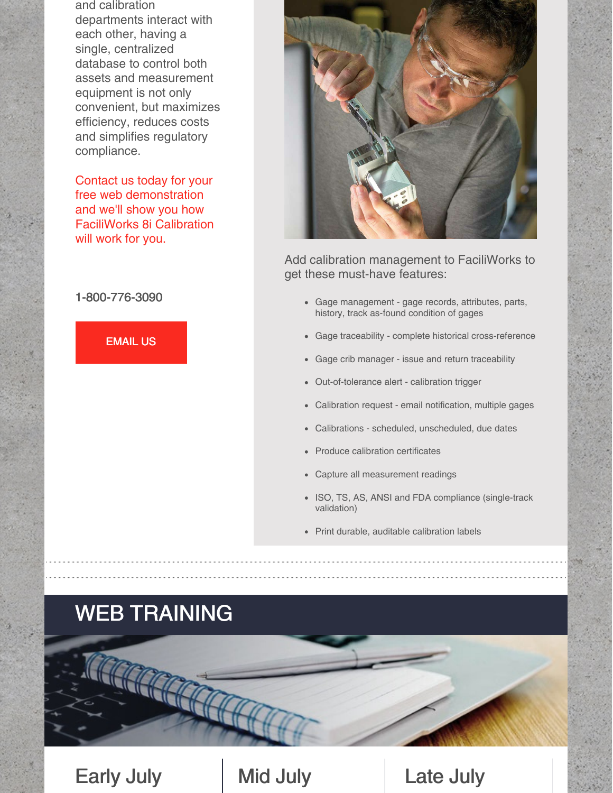and calibration departments interact with each other, having a single, centralized database to control both assets and measurement equipment is not only convenient, but maximizes efficiency, reduces costs and simplifies regulatory compliance.

Contact us today for your free web demonstration and we'll show you how FaciliWorks 8i Calibration will work for you.

### 1-800-776-3090





Add calibration management to FaciliWorks to get these must-have features:

- Gage management gage records, attributes, parts, history, track as-found condition of gages
- Gage traceability complete historical cross-reference
- Gage crib manager issue and return traceability
- Out-of-tolerance alert calibration trigger
- Calibration request email notification, multiple gages
- Calibrations scheduled, unscheduled, due dates  $\bullet$
- Produce calibration certificates
- Capture all measurement readings
- ISO, TS, AS, ANSI and FDA compliance (single-track validation)
- Print durable, auditable calibration labels

# WEB TRAINING

Early July | Mid July | Late July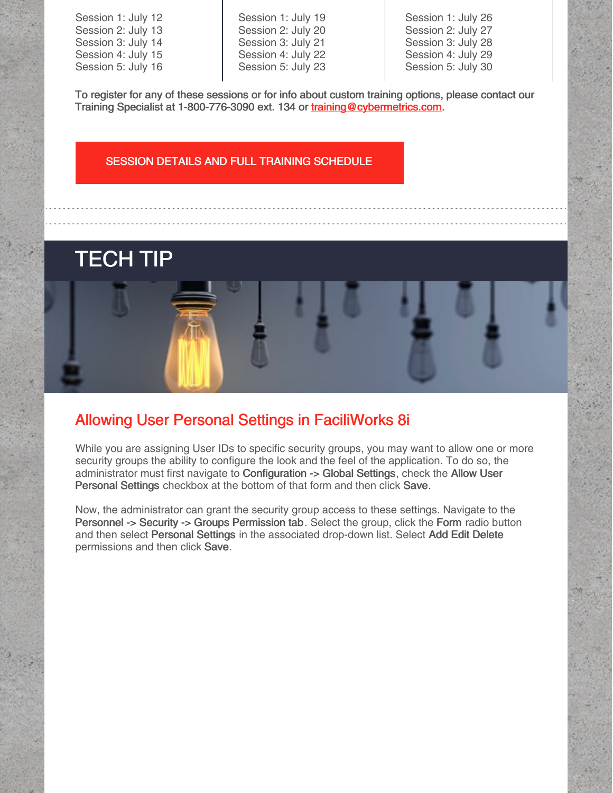Session 1: July 12 Session 2: July 13 Session 3: July 14 Session 4: July 15 Session 5: July 16 Session 1: July 19 Session 2: July 20 Session 3: July 21 Session 4: July 22 Session 5: July 23

Session 1: July 26 Session 2: July 27 Session 3: July 28 Session 4: July 29 Session 5: July 30

To register for any of these sessions or for info about custom training options, please contact our Training Specialist at 1-800-776-3090 ext. 134 or [training@cybermetrics.com.](mailto:training@cybermetrics.com)

### SESSION DETAILS AND FULL TRAINING [SCHEDULE](https://faciliworks.com/training-schedule/#web_training)

# TECH TIP

## Allowing User Personal Settings in FaciliWorks 8i

While you are assigning User IDs to specific security groups, you may want to allow one or more security groups the ability to configure the look and the feel of the application. To do so, the administrator must first navigate to Configuration -> Global Settings, check the Allow User Personal Settings checkbox at the bottom of that form and then click Save.

Now, the administrator can grant the security group access to these settings. Navigate to the Personnel -> Security -> Groups Permission tab. Select the group, click the Form radio button and then select Personal Settings in the associated drop-down list. Select Add Edit Delete permissions and then click Save.